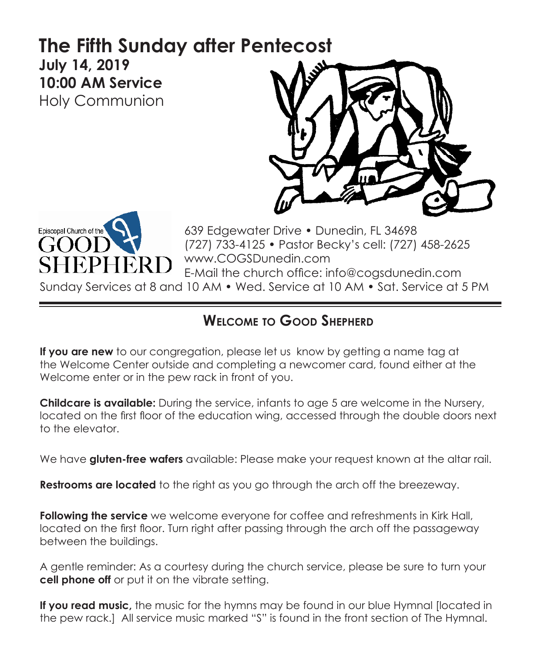# **The Fifth Sunday after Pentecost July 14, 2019 10:00 AM Service**

Holy Communion





639 Edgewater Drive • Dunedin, FL 34698 (727) 733-4125 • Pastor Becky's cell: (727) 458-2625 www.COGSDunedin.com E-Mail the church office: info@cogsdunedin.com

Sunday Services at 8 and 10 AM • Wed. Service at 10 AM • Sat. Service at 5 PM

# **Welcome to Good Shepherd**

**If you are new** to our congregation, please let us know by getting a name tag at the Welcome Center outside and completing a newcomer card, found either at the Welcome enter or in the pew rack in front of you.

**Childcare is available:** During the service, infants to age 5 are welcome in the Nursery, located on the first floor of the education wing, accessed through the double doors next to the elevator.

We have **gluten-free wafers** available: Please make your request known at the altar rail.

**Restrooms are located** to the right as you go through the arch off the breezeway.

**Following the service** we welcome everyone for coffee and refreshments in Kirk Hall, located on the first floor. Turn right after passing through the arch off the passageway between the buildings.

A gentle reminder: As a courtesy during the church service, please be sure to turn your **cell phone off** or put it on the vibrate setting.

**If you read music,** the music for the hymns may be found in our blue Hymnal [located in the pew rack.] All service music marked "S" is found in the front section of The Hymnal.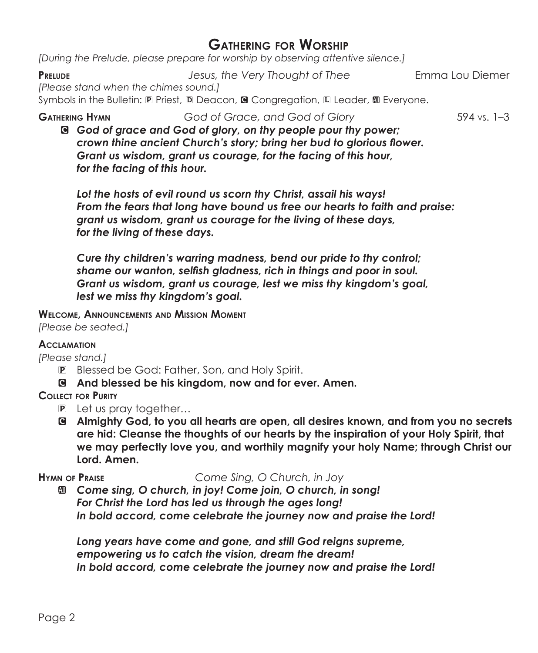# **Gathering for Worship**

*[During the Prelude, please prepare for worship by observing attentive silence.]*

**Prelude** *Jesus, the Very Thought of Thee* Emma Lou Diemer *[Please stand when the chimes sound.]*

Symbols in the Bulletin: P Priest, D Deacon, @ Congregation, L Leader, @ Everyone.

**Gathering Hymn** *God of Grace, and God of Glory* 594 vs. 1–3

C *God of grace and God of glory, on thy people pour thy power; crown thine ancient Church's story; bring her bud to glorious flower. Grant us wisdom, grant us courage, for the facing of this hour, for the facing of this hour.*

*Lo! the hosts of evil round us scorn thy Christ, assail his ways! From the fears that long have bound us free our hearts to faith and praise: grant us wisdom, grant us courage for the living of these days, for the living of these days.*

*Cure thy children's warring madness, bend our pride to thy control; shame our wanton, selfish gladness, rich in things and poor in soul. Grant us wisdom, grant us courage, lest we miss thy kingdom's goal, lest we miss thy kingdom's goal.*

**Welcome, Announcements and Mission Moment** *[Please be seated.]*

## **Acclamation**

*[Please stand.]*

- P Blessed be God: Father, Son, and Holy Spirit.
- C **And blessed be his kingdom, now and for ever. Amen.**

# **Collect for Purity**

- P Let us pray together…
- C **Almighty God, to you all hearts are open, all desires known, and from you no secrets are hid: Cleanse the thoughts of our hearts by the inspiration of your Holy Spirit, that we may perfectly love you, and worthily magnify your holy Name; through Christ our Lord. Amen.**

**Hymn of Praise** *Come Sing, O Church, in Joy*

a *Come sing, O church, in joy! Come join, O church, in song! For Christ the Lord has led us through the ages long! In bold accord, come celebrate the journey now and praise the Lord!*

*Long years have come and gone, and still God reigns supreme, empowering us to catch the vision, dream the dream! In bold accord, come celebrate the journey now and praise the Lord!*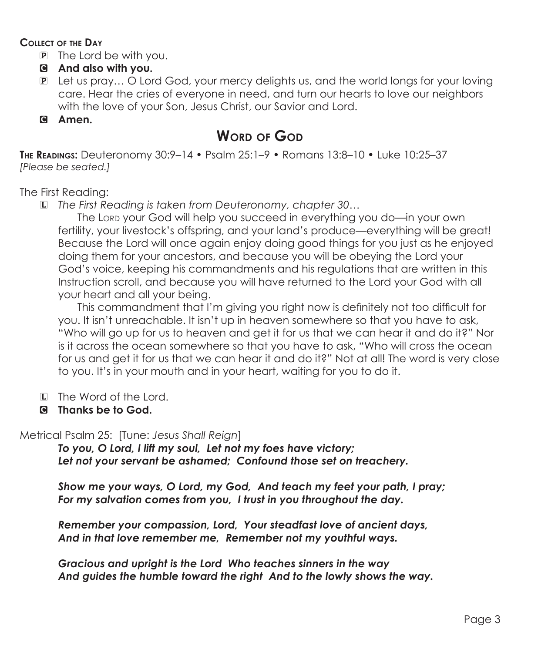### **Collect of the Day**

- P The Lord be with you.
- C **And also with you.**
- P Let us pray… O Lord God, your mercy delights us, and the world longs for your loving care. Hear the cries of everyone in need, and turn our hearts to love our neighbors with the love of your Son, Jesus Christ, our Savior and Lord.

# C **Amen.**

# **WORD OF GOD**

**The Readings:** Deuteronomy 30:9–14 • Psalm 25:1–9 • Romans 13:8–10 • Luke 10:25–37 *[Please be seated.]*

The First Reading:

L *The First Reading is taken from Deuteronomy, chapter 30…*

The Lord your God will help you succeed in everything you do—in your own fertility, your livestock's offspring, and your land's produce—everything will be great! Because the Lord will once again enjoy doing good things for you just as he enjoyed doing them for your ancestors, and because you will be obeying the Lord your God's voice, keeping his commandments and his regulations that are written in this Instruction scroll, and because you will have returned to the Lord your God with all your heart and all your being.

This commandment that I'm giving you right now is definitely not too difficult for you. It isn't unreachable. It isn't up in heaven somewhere so that you have to ask, "Who will go up for us to heaven and get it for us that we can hear it and do it?" Nor is it across the ocean somewhere so that you have to ask, "Who will cross the ocean for us and get it for us that we can hear it and do it?" Not at all! The word is very close to you. It's in your mouth and in your heart, waiting for you to do it.

- L The Word of the Lord.
- C **Thanks be to God.**

Metrical Psalm 25: [Tune: *Jesus Shall Reign*]

*To you, O Lord, I lift my soul, Let not my foes have victory; Let not your servant be ashamed; Confound those set on treachery.*

*Show me your ways, O Lord, my God, And teach my feet your path, I pray; For my salvation comes from you, I trust in you throughout the day.*

*Remember your compassion, Lord, Your steadfast love of ancient days, And in that love remember me, Remember not my youthful ways.*

*Gracious and upright is the Lord Who teaches sinners in the way And guides the humble toward the right And to the lowly shows the way.*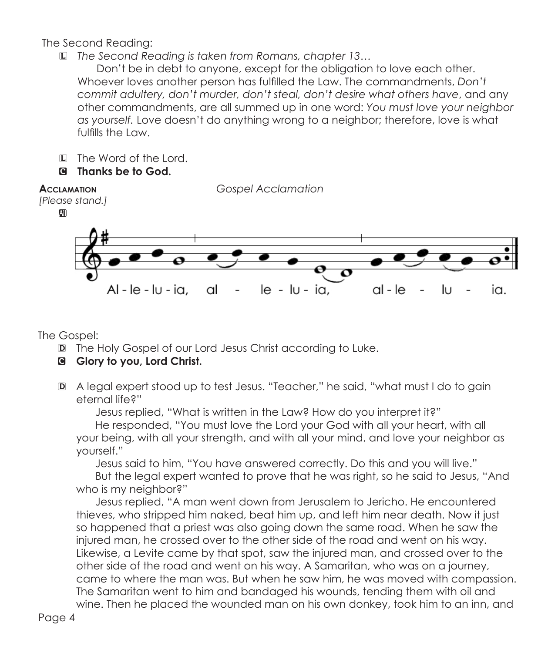# The Second Reading:

L *The Second Reading is taken from Romans, chapter 13…*

Don't be in debt to anyone, except for the obligation to love each other. Whoever loves another person has fulfilled the Law. The commandments, *Don't commit adultery, don't murder, don't steal, don't desire what others have*, and any other commandments, are all summed up in one word: *You must love your neighbor as yourself.* Love doesn't do anything wrong to a neighbor; therefore, love is what fulfills the Law.

- L The Word of the Lord.
- C **Thanks be to God.**



The Gospel:

- D The Holy Gospel of our Lord Jesus Christ according to Luke.
- C **Glory to you, Lord Christ.**
- D A legal expert stood up to test Jesus. "Teacher," he said, "what must I do to gain eternal life?"

 Jesus replied, "What is written in the Law? How do you interpret it?" He responded, "You must love the Lord your God with all your heart, with all your being, with all your strength, and with all your mind, and love your neighbor as yourself."

Jesus said to him, "You have answered correctly. Do this and you will live."

But the legal expert wanted to prove that he was right, so he said to Jesus, "And who is my neighbor?"

 Jesus replied, "A man went down from Jerusalem to Jericho. He encountered thieves, who stripped him naked, beat him up, and left him near death. Now it just so happened that a priest was also going down the same road. When he saw the injured man, he crossed over to the other side of the road and went on his way. Likewise, a Levite came by that spot, saw the injured man, and crossed over to the other side of the road and went on his way. A Samaritan, who was on a journey, came to where the man was. But when he saw him, he was moved with compassion. The Samaritan went to him and bandaged his wounds, tending them with oil and wine. Then he placed the wounded man on his own donkey, took him to an inn, and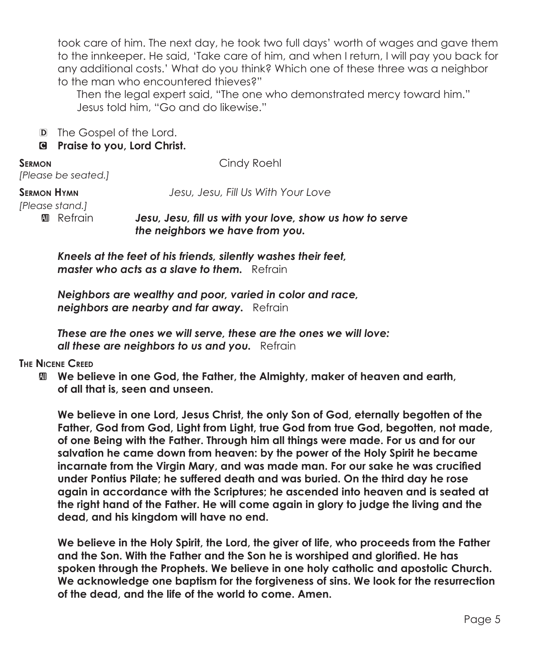took care of him. The next day, he took two full days' worth of wages and gave them to the innkeeper. He said, 'Take care of him, and when I return, I will pay you back for any additional costs.' What do you think? Which one of these three was a neighbor to the man who encountered thieves?"

Then the legal expert said, "The one who demonstrated mercy toward him." Jesus told him, "Go and do likewise."

D The Gospel of the Lord.

### C **Praise to you, Lord Christ.**

*[Please be seated.]*

**SERMON** Cindy Roehl

**Sermon Hymn** *Jesu, Jesu, Fill Us With Your Love*

*[Please stand.]*

 $\blacksquare$  Refrain *Jesu, Jesu, fill us with your love, show us how to serve the neighbors we have from you.*

*Kneels at the feet of his friends, silently washes their feet, master who acts as a slave to them.* Refrain

*Neighbors are wealthy and poor, varied in color and race, neighbors are nearby and far away.* Refrain

*These are the ones we will serve, these are the ones we will love: all these are neighbors to us and you.* Refrain

**The Nicene Creed**

 $\mathbf{w}$  **We believe in one God, the Father, the Almighty, maker of heaven and earth, of all that is, seen and unseen.**

 **We believe in one Lord, Jesus Christ, the only Son of God, eternally begotten of the Father, God from God, Light from Light, true God from true God, begotten, not made, of one Being with the Father. Through him all things were made. For us and for our salvation he came down from heaven: by the power of the Holy Spirit he became incarnate from the Virgin Mary, and was made man. For our sake he was crucified under Pontius Pilate; he suffered death and was buried. On the third day he rose again in accordance with the Scriptures; he ascended into heaven and is seated at the right hand of the Father. He will come again in glory to judge the living and the dead, and his kingdom will have no end.**

 **We believe in the Holy Spirit, the Lord, the giver of life, who proceeds from the Father and the Son. With the Father and the Son he is worshiped and glorified. He has spoken through the Prophets. We believe in one holy catholic and apostolic Church. We acknowledge one baptism for the forgiveness of sins. We look for the resurrection of the dead, and the life of the world to come. Amen.**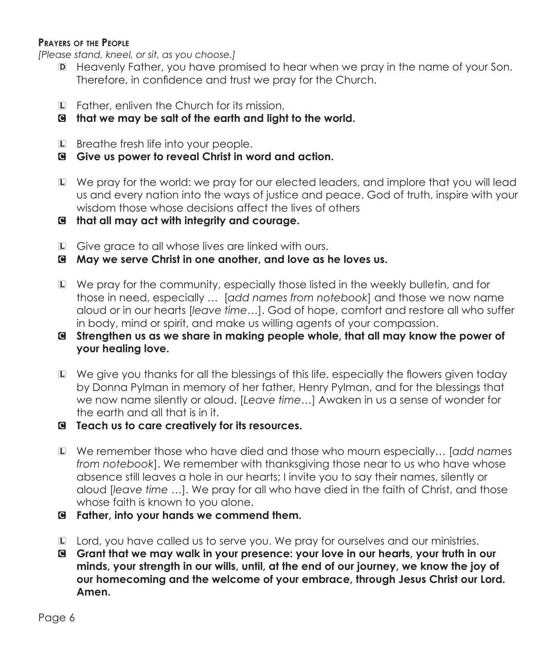## **Prayers of the People**

*[Please stand, kneel, or sit, as you choose.]*

- D Heavenly Father, you have promised to hear when we pray in the name of your Son. Therefore, in confidence and trust we pray for the Church.
- L Father, enliven the Church for its mission,
- C **that we may be salt of the earth and light to the world.**
- L Breathe fresh life into your people.
- C **Give us power to reveal Christ in word and action.**
- L We pray for the world: we pray for our elected leaders, and implore that you will lead us and every nation into the ways of justice and peace. God of truth, inspire with your wisdom those whose decisions affect the lives of others
- C **that all may act with integrity and courage.**
- L Give grace to all whose lives are linked with ours.
- C **May we serve Christ in one another, and love as he loves us.**
- L We pray for the community, especially those listed in the weekly bulletin, and for those in need, especially … [*add names from notebook*] and those we now name aloud or in our hearts [*leave time…*]. God of hope, comfort and restore all who suffer in body, mind or spirit, and make us willing agents of your compassion.
- C **Strengthen us as we share in making people whole, that all may know the power of your healing love.**
- L We give you thanks for all the blessings of this life, especially the flowers given today by Donna Pylman in memory of her father, Henry Pylman, and for the blessings that we now name silently or aloud. [*Leave time…*] Awaken in us a sense of wonder for the earth and all that is in it.
- C **Teach us to care creatively for its resources.**
- L We remember those who have died and those who mourn especially… [*add names from notebook*]. We remember with thanksgiving those near to us who have whose absence still leaves a hole in our hearts; I invite you to say their names, silently or aloud [*leave time …*]. We pray for all who have died in the faith of Christ, and those whose faith is known to you alone.
- C **Father, into your hands we commend them.**
- L Lord, you have called us to serve you. We pray for ourselves and our ministries.
- C **Grant that we may walk in your presence: your love in our hearts, your truth in our minds, your strength in our wills, until, at the end of our journey, we know the joy of our homecoming and the welcome of your embrace, through Jesus Christ our Lord. Amen.**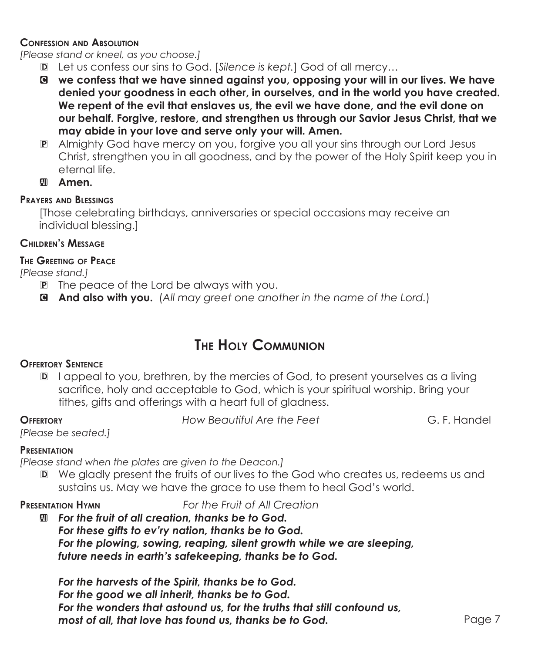### **Confession and Absolution**

*[Please stand or kneel, as you choose.]*

- D Let us confess our sins to God. [*Silence is kept.*] God of all mercy…
- C **we confess that we have sinned against you, opposing your will in our lives. We have denied your goodness in each other, in ourselves, and in the world you have created. We repent of the evil that enslaves us, the evil we have done, and the evil done on our behalf. Forgive, restore, and strengthen us through our Savior Jesus Christ, that we may abide in your love and serve only your will. Amen.**
- P Almighty God have mercy on you, forgive you all your sins through our Lord Jesus Christ, strengthen you in all goodness, and by the power of the Holy Spirit keep you in eternal life.
- **M** Amen.

# **Prayers and Blessings**

[Those celebrating birthdays, anniversaries or special occasions may receive an individual blessing.]

# **Children's Message**

## **The Greeting of Peace**

*[Please stand.]*

- P The peace of the Lord be always with you.
- C **And also with you.** (*All may greet one another in the name of the Lord.*)

# **The Holy Communion**

# **Offertory Sentence**

D I appeal to you, brethren, by the mercies of God, to present yourselves as a living sacrifice, holy and acceptable to God, which is your spiritual worship. Bring your tithes, aifts and offerings with a heart full of gladness.

**Offertory** *How Beautiful Are the Feet* G. F. Handel

*[Please be seated.]*

## **Presentation**

*[Please stand when the plates are given to the Deacon.]*

D We gladly present the fruits of our lives to the God who creates us, redeems us and sustains us. May we have the grace to use them to heal God's world.

**Presentation Hymn** *For the Fruit of All Creation*

a *For the fruit of all creation, thanks be to God. For these gifts to ev'ry nation, thanks be to God. For the plowing, sowing, reaping, silent growth while we are sleeping, future needs in earth's safekeeping, thanks be to God.*

*For the harvests of the Spirit, thanks be to God. For the good we all inherit, thanks be to God. For the wonders that astound us, for the truths that still confound us, most of all, that love has found us, thanks be to God.*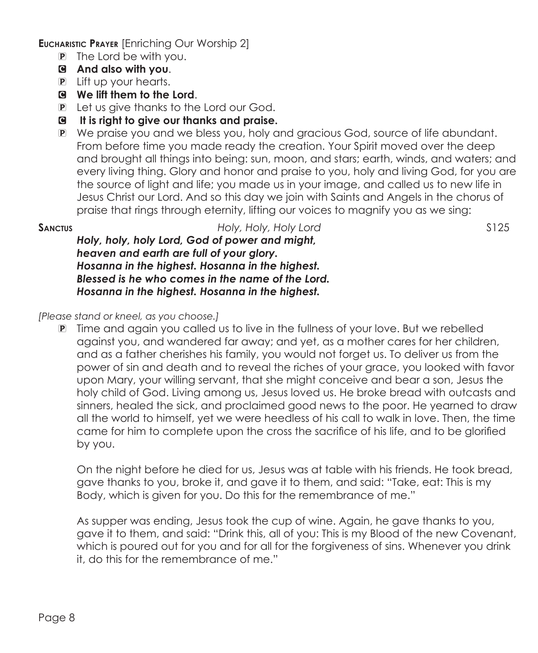**Eucharistic Prayer** [Enriching Our Worship 2]

- P The Lord be with you.
- C **And also with you**.
- P Lift up your hearts.
- C **We lift them to the Lord**.
- P Let us give thanks to the Lord our God.
- C **It is right to give our thanks and praise.**
- P We praise you and we bless you, holy and gracious God, source of life abundant. From before time you made ready the creation. Your Spirit moved over the deep and brought all things into being: sun, moon, and stars; earth, winds, and waters; and every living thing. Glory and honor and praise to you, holy and living God, for you are the source of light and life; you made us in your image, and called us to new life in Jesus Christ our Lord. And so this day we join with Saints and Angels in the chorus of praise that rings through eternity, lifting our voices to magnify you as we sing:

## **Sanctus** *Holy, Holy, Holy Lord* S125

*Holy, holy, holy Lord, God of power and might, heaven and earth are full of your glory. Hosanna in the highest. Hosanna in the highest. Blessed is he who comes in the name of the Lord. Hosanna in the highest. Hosanna in the highest.*

*[Please stand or kneel, as you choose.]*

P Time and again you called us to live in the fullness of your love. But we rebelled against you, and wandered far away; and yet, as a mother cares for her children, and as a father cherishes his family, you would not forget us. To deliver us from the power of sin and death and to reveal the riches of your grace, you looked with favor upon Mary, your willing servant, that she might conceive and bear a son, Jesus the holy child of God. Living among us, Jesus loved us. He broke bread with outcasts and sinners, healed the sick, and proclaimed good news to the poor. He yearned to draw all the world to himself, yet we were heedless of his call to walk in love. Then, the time came for him to complete upon the cross the sacrifice of his life, and to be glorified by you.

 On the night before he died for us, Jesus was at table with his friends. He took bread, gave thanks to you, broke it, and gave it to them, and said: "Take, eat: This is my Body, which is given for you. Do this for the remembrance of me."

 As supper was ending, Jesus took the cup of wine. Again, he gave thanks to you, gave it to them, and said: "Drink this, all of you: This is my Blood of the new Covenant, which is poured out for you and for all for the forgiveness of sins. Whenever you drink it, do this for the remembrance of me."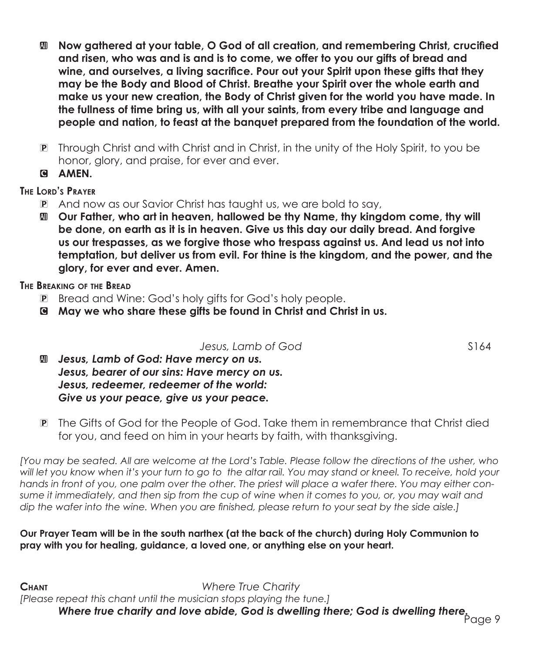- a **Now gathered at your table, O God of all creation, and remembering Christ, crucified and risen, who was and is and is to come, we offer to you our gifts of bread and wine, and ourselves, a living sacrifice. Pour out your Spirit upon these gifts that they may be the Body and Blood of Christ. Breathe your Spirit over the whole earth and make us your new creation, the Body of Christ given for the world you have made. In the fullness of time bring us, with all your saints, from every tribe and language and people and nation, to feast at the banquet prepared from the foundation of the world.**
- P Through Christ and with Christ and in Christ, in the unity of the Holy Spirit, to you be honor, glory, and praise, for ever and ever.
- C **AMEN.**

# **The Lord's Prayer**

- P And now as our Savior Christ has taught us, we are bold to say,
- a **Our Father, who art in heaven, hallowed be thy Name, thy kingdom come, thy will be done, on earth as it is in heaven. Give us this day our daily bread. And forgive us our trespasses, as we forgive those who trespass against us. And lead us not into temptation, but deliver us from evil. For thine is the kingdom, and the power, and the glory, for ever and ever. Amen.**

## **The Breaking of the Bread**

- P Bread and Wine: God's holy gifts for God's holy people.
- C **May we who share these gifts be found in Christ and Christ in us.**

*Jesus, Lamb of God* S164

- $\mathbf{I}$  Jesus, Lamb of God: Have mercy on us. *Jesus, bearer of our sins: Have mercy on us. Jesus, redeemer, redeemer of the world: Give us your peace, give us your peace.*
- P The Gifts of God for the People of God. Take them in remembrance that Christ died for you, and feed on him in your hearts by faith, with thanksgiving.

*[You may be seated. All are welcome at the Lord's Table. Please follow the directions of the usher, who*  will let you know when it's your turn to go to the altar rail. You may stand or kneel. To receive, hold your *hands in front of you, one palm over the other. The priest will place a wafer there. You may either consume it immediately, and then sip from the cup of wine when it comes to you, or, you may wait and dip the wafer into the wine. When you are finished, please return to your seat by the side aisle.]*

## **Our Prayer Team will be in the south narthex (at the back of the church) during Holy Communion to pray with you for healing, guidance, a loved one, or anything else on your heart.**

Page 9 *Where true charity and love abide, God is dwelling there; God is dwelling there.***Chant** *Where True Charity [Please repeat this chant until the musician stops playing the tune.]*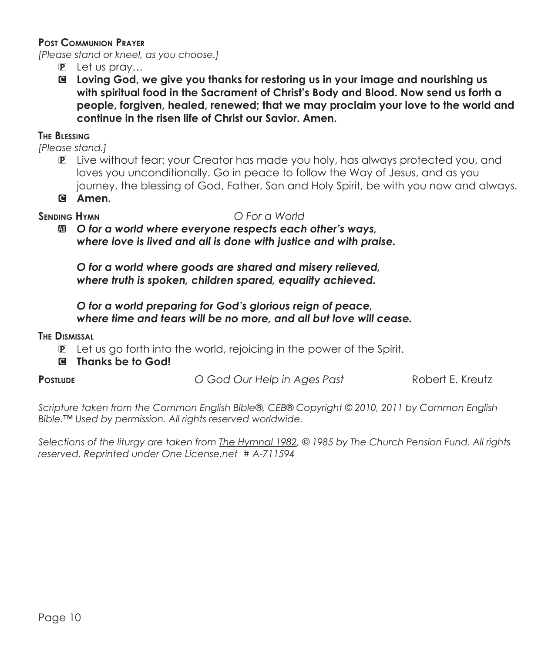### **Post Communion Prayer**

*[Please stand or kneel, as you choose.]*

- P Let us pray…
- C **Loving God, we give you thanks for restoring us in your image and nourishing us with spiritual food in the Sacrament of Christ's Body and Blood. Now send us forth a people, forgiven, healed, renewed; that we may proclaim your love to the world and continue in the risen life of Christ our Savior. Amen.**

### **The Blessing**

*[Please stand.]*

- P Live without fear: your Creator has made you holy, has always protected you, and loves you unconditionally. Go in peace to follow the Way of Jesus, and as you journey, the blessing of God, Father, Son and Holy Spirit, be with you now and always.
- C **Amen.**

#### **Sending Hymn** *O For a World*

a *O for a world where everyone respects each other's ways, where love is lived and all is done with justice and with praise.*

*O for a world where goods are shared and misery relieved, where truth is spoken, children spared, equality achieved.*

## *O for a world preparing for God's glorious reign of peace, where time and tears will be no more, and all but love will cease.*

#### **The Dismissal**

- P Let us go forth into the world, rejoicing in the power of the Spirit.
- C **Thanks be to God!**

| <b>POSTLUDE</b> | O God Our Help in Ages Past | Robert E. Kreutz |
|-----------------|-----------------------------|------------------|
|-----------------|-----------------------------|------------------|

*Scripture taken from the Common English Bible®, CEB® Copyright © 2010, 2011 by Common English Bible.™ Used by permission. All rights reserved worldwide.*

*Selections of the liturgy are taken from The Hymnal 1982, © 1985 by The Church Pension Fund. All rights reserved. Reprinted under One License.net # A-711594*